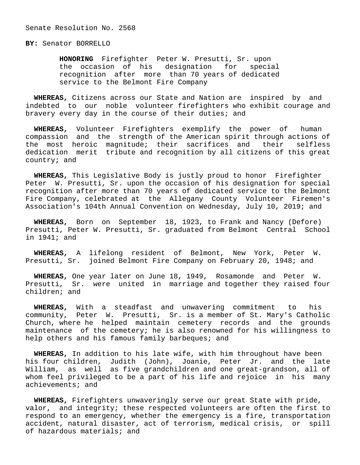Senate Resolution No. 2568

**BY:** Senator BORRELLO

 **HONORING** Firefighter Peter W. Presutti, Sr. upon the occasion of his designation for special recognition after more than 70 years of dedicated service to the Belmont Fire Company

 **WHEREAS,** Citizens across our State and Nation are inspired by and indebted to our noble volunteer firefighters who exhibit courage and bravery every day in the course of their duties; and

 **WHEREAS,** Volunteer Firefighters exemplify the power of human compassion and the strength of the American spirit through actions of the most heroic magnitude; their sacrifices and their selfless dedication merit tribute and recognition by all citizens of this great country; and

 **WHEREAS,** This Legislative Body is justly proud to honor Firefighter Peter W. Presutti, Sr. upon the occasion of his designation for special recognition after more than 70 years of dedicated service to the Belmont Fire Company, celebrated at the Allegany County Volunteer Firemen's Association's 104th Annual Convention on Wednesday, July 10, 2019; and

 **WHEREAS,** Born on September 18, 1923, to Frank and Nancy (Defore) Presutti, Peter W. Presutti, Sr. graduated from Belmont Central School in 1941; and

 **WHEREAS,** A lifelong resident of Belmont, New York, Peter W. Presutti, Sr. joined Belmont Fire Company on February 20, 1948; and

 **WHEREAS,** One year later on June 18, 1949, Rosamonde and Peter W. Presutti, Sr. were united in marriage and together they raised four children; and

 **WHEREAS,** With a steadfast and unwavering commitment to his community, Peter W. Presutti, Sr. is a member of St. Mary's Catholic Church, where he helped maintain cemetery records and the grounds maintenance of the cemetery; he is also renowned for his willingness to help others and his famous family barbeques; and

 **WHEREAS,** In addition to his late wife, with him throughout have been his four children, Judith (John), Joanie, Peter Jr. and the late William, as well as five grandchildren and one great-grandson, all of whom feel privileged to be a part of his life and rejoice in his many achievements; and

 **WHEREAS,** Firefighters unwaveringly serve our great State with pride, valor, and integrity; these respected volunteers are often the first to respond to an emergency, whether the emergency is a fire, transportation accident, natural disaster, act of terrorism, medical crisis, or spill of hazardous materials; and